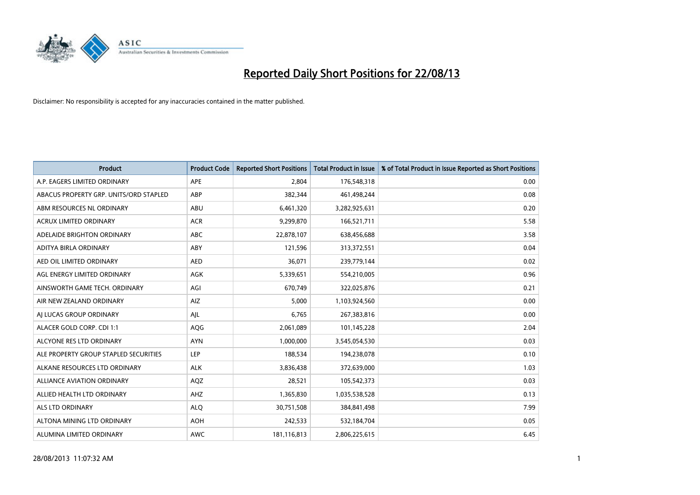

| <b>Product</b>                         | <b>Product Code</b> | <b>Reported Short Positions</b> | <b>Total Product in Issue</b> | % of Total Product in Issue Reported as Short Positions |
|----------------------------------------|---------------------|---------------------------------|-------------------------------|---------------------------------------------------------|
| A.P. EAGERS LIMITED ORDINARY           | APE                 | 2.804                           | 176,548,318                   | 0.00                                                    |
| ABACUS PROPERTY GRP. UNITS/ORD STAPLED | ABP                 | 382,344                         | 461,498,244                   | 0.08                                                    |
| ABM RESOURCES NL ORDINARY              | ABU                 | 6,461,320                       | 3,282,925,631                 | 0.20                                                    |
| ACRUX LIMITED ORDINARY                 | <b>ACR</b>          | 9,299,870                       | 166,521,711                   | 5.58                                                    |
| ADELAIDE BRIGHTON ORDINARY             | <b>ABC</b>          | 22,878,107                      | 638,456,688                   | 3.58                                                    |
| ADITYA BIRLA ORDINARY                  | ABY                 | 121,596                         | 313,372,551                   | 0.04                                                    |
| AED OIL LIMITED ORDINARY               | <b>AED</b>          | 36,071                          | 239,779,144                   | 0.02                                                    |
| AGL ENERGY LIMITED ORDINARY            | AGK                 | 5,339,651                       | 554,210,005                   | 0.96                                                    |
| AINSWORTH GAME TECH. ORDINARY          | AGI                 | 670,749                         | 322,025,876                   | 0.21                                                    |
| AIR NEW ZEALAND ORDINARY               | AIZ                 | 5,000                           | 1,103,924,560                 | 0.00                                                    |
| AI LUCAS GROUP ORDINARY                | AJL                 | 6,765                           | 267,383,816                   | 0.00                                                    |
| ALACER GOLD CORP. CDI 1:1              | AQG                 | 2,061,089                       | 101,145,228                   | 2.04                                                    |
| ALCYONE RES LTD ORDINARY               | <b>AYN</b>          | 1,000,000                       | 3,545,054,530                 | 0.03                                                    |
| ALE PROPERTY GROUP STAPLED SECURITIES  | LEP                 | 188,534                         | 194,238,078                   | 0.10                                                    |
| ALKANE RESOURCES LTD ORDINARY          | <b>ALK</b>          | 3,836,438                       | 372,639,000                   | 1.03                                                    |
| ALLIANCE AVIATION ORDINARY             | AQZ                 | 28,521                          | 105,542,373                   | 0.03                                                    |
| ALLIED HEALTH LTD ORDINARY             | AHZ                 | 1,365,830                       | 1,035,538,528                 | 0.13                                                    |
| <b>ALS LTD ORDINARY</b>                | <b>ALQ</b>          | 30,751,508                      | 384,841,498                   | 7.99                                                    |
| ALTONA MINING LTD ORDINARY             | <b>AOH</b>          | 242,533                         | 532,184,704                   | 0.05                                                    |
| ALUMINA LIMITED ORDINARY               | <b>AWC</b>          | 181,116,813                     | 2,806,225,615                 | 6.45                                                    |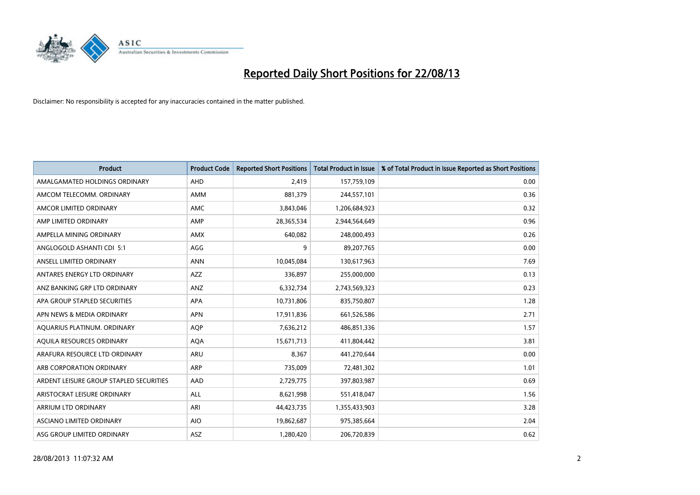

| <b>Product</b>                          | <b>Product Code</b> | <b>Reported Short Positions</b> | <b>Total Product in Issue</b> | % of Total Product in Issue Reported as Short Positions |
|-----------------------------------------|---------------------|---------------------------------|-------------------------------|---------------------------------------------------------|
| AMALGAMATED HOLDINGS ORDINARY           | AHD                 | 2,419                           | 157,759,109                   | 0.00                                                    |
| AMCOM TELECOMM. ORDINARY                | AMM                 | 881,379                         | 244,557,101                   | 0.36                                                    |
| AMCOR LIMITED ORDINARY                  | AMC                 | 3,843,046                       | 1,206,684,923                 | 0.32                                                    |
| AMP LIMITED ORDINARY                    | AMP                 | 28,365,534                      | 2,944,564,649                 | 0.96                                                    |
| AMPELLA MINING ORDINARY                 | <b>AMX</b>          | 640,082                         | 248,000,493                   | 0.26                                                    |
| ANGLOGOLD ASHANTI CDI 5:1               | AGG                 | 9                               | 89,207,765                    | 0.00                                                    |
| ANSELL LIMITED ORDINARY                 | <b>ANN</b>          | 10,045,084                      | 130,617,963                   | 7.69                                                    |
| ANTARES ENERGY LTD ORDINARY             | AZZ                 | 336,897                         | 255,000,000                   | 0.13                                                    |
| ANZ BANKING GRP LTD ORDINARY            | ANZ                 | 6,332,734                       | 2,743,569,323                 | 0.23                                                    |
| APA GROUP STAPLED SECURITIES            | <b>APA</b>          | 10,731,806                      | 835,750,807                   | 1.28                                                    |
| APN NEWS & MEDIA ORDINARY               | <b>APN</b>          | 17,911,836                      | 661,526,586                   | 2.71                                                    |
| AQUARIUS PLATINUM. ORDINARY             | <b>AQP</b>          | 7,636,212                       | 486,851,336                   | 1.57                                                    |
| AQUILA RESOURCES ORDINARY               | <b>AQA</b>          | 15,671,713                      | 411,804,442                   | 3.81                                                    |
| ARAFURA RESOURCE LTD ORDINARY           | ARU                 | 8,367                           | 441,270,644                   | 0.00                                                    |
| ARB CORPORATION ORDINARY                | <b>ARP</b>          | 735,009                         | 72,481,302                    | 1.01                                                    |
| ARDENT LEISURE GROUP STAPLED SECURITIES | AAD                 | 2,729,775                       | 397,803,987                   | 0.69                                                    |
| ARISTOCRAT LEISURE ORDINARY             | ALL                 | 8,621,998                       | 551,418,047                   | 1.56                                                    |
| ARRIUM LTD ORDINARY                     | ARI                 | 44,423,735                      | 1,355,433,903                 | 3.28                                                    |
| ASCIANO LIMITED ORDINARY                | <b>AIO</b>          | 19,862,687                      | 975,385,664                   | 2.04                                                    |
| ASG GROUP LIMITED ORDINARY              | ASZ                 | 1,280,420                       | 206,720,839                   | 0.62                                                    |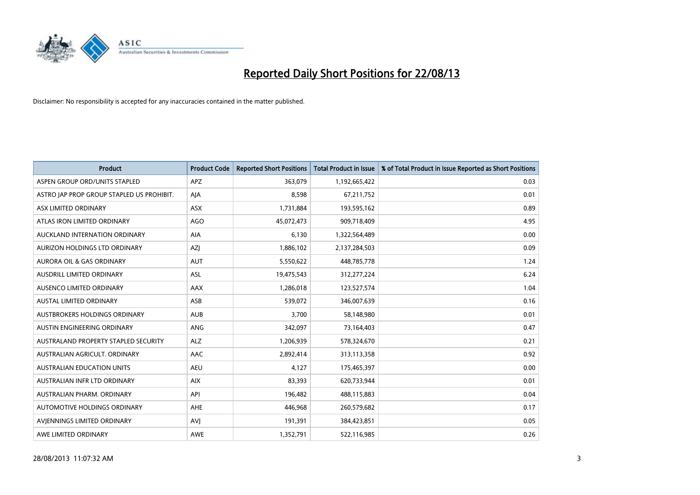

| <b>Product</b>                            | <b>Product Code</b> | <b>Reported Short Positions</b> | <b>Total Product in Issue</b> | % of Total Product in Issue Reported as Short Positions |
|-------------------------------------------|---------------------|---------------------------------|-------------------------------|---------------------------------------------------------|
| ASPEN GROUP ORD/UNITS STAPLED             | <b>APZ</b>          | 363,079                         | 1,192,665,422                 | 0.03                                                    |
| ASTRO JAP PROP GROUP STAPLED US PROHIBIT. | AJA                 | 8,598                           | 67,211,752                    | 0.01                                                    |
| ASX LIMITED ORDINARY                      | <b>ASX</b>          | 1,731,884                       | 193,595,162                   | 0.89                                                    |
| ATLAS IRON LIMITED ORDINARY               | AGO                 | 45,072,473                      | 909,718,409                   | 4.95                                                    |
| AUCKLAND INTERNATION ORDINARY             | AIA                 | 6,130                           | 1,322,564,489                 | 0.00                                                    |
| AURIZON HOLDINGS LTD ORDINARY             | AZJ                 | 1,886,102                       | 2,137,284,503                 | 0.09                                                    |
| <b>AURORA OIL &amp; GAS ORDINARY</b>      | <b>AUT</b>          | 5,550,622                       | 448,785,778                   | 1.24                                                    |
| AUSDRILL LIMITED ORDINARY                 | ASL                 | 19,475,543                      | 312,277,224                   | 6.24                                                    |
| AUSENCO LIMITED ORDINARY                  | AAX                 | 1,286,018                       | 123,527,574                   | 1.04                                                    |
| <b>AUSTAL LIMITED ORDINARY</b>            | ASB                 | 539,072                         | 346,007,639                   | 0.16                                                    |
| AUSTBROKERS HOLDINGS ORDINARY             | <b>AUB</b>          | 3,700                           | 58,148,980                    | 0.01                                                    |
| AUSTIN ENGINEERING ORDINARY               | ANG                 | 342,097                         | 73,164,403                    | 0.47                                                    |
| AUSTRALAND PROPERTY STAPLED SECURITY      | <b>ALZ</b>          | 1,206,939                       | 578,324,670                   | 0.21                                                    |
| AUSTRALIAN AGRICULT, ORDINARY             | AAC                 | 2,892,414                       | 313,113,358                   | 0.92                                                    |
| <b>AUSTRALIAN EDUCATION UNITS</b>         | <b>AEU</b>          | 4,127                           | 175,465,397                   | 0.00                                                    |
| AUSTRALIAN INFR LTD ORDINARY              | <b>AIX</b>          | 83,393                          | 620,733,944                   | 0.01                                                    |
| AUSTRALIAN PHARM. ORDINARY                | API                 | 196,482                         | 488,115,883                   | 0.04                                                    |
| AUTOMOTIVE HOLDINGS ORDINARY              | AHE                 | 446,968                         | 260,579,682                   | 0.17                                                    |
| AVIENNINGS LIMITED ORDINARY               | <b>AVI</b>          | 191,391                         | 384,423,851                   | 0.05                                                    |
| AWE LIMITED ORDINARY                      | <b>AWE</b>          | 1,352,791                       | 522,116,985                   | 0.26                                                    |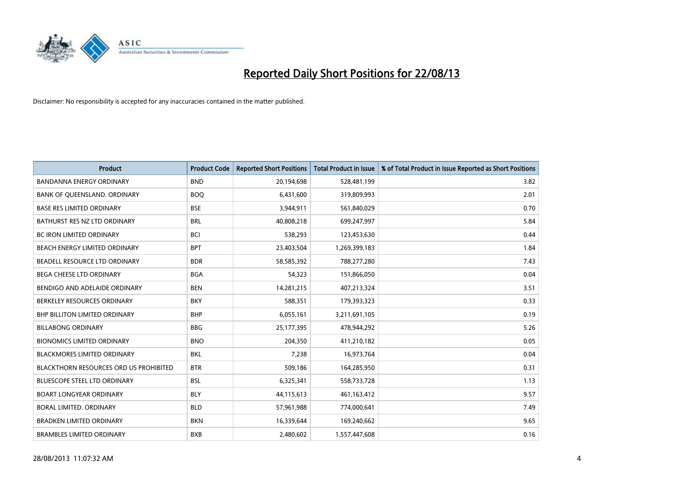

| <b>Product</b>                                | <b>Product Code</b> | <b>Reported Short Positions</b> | <b>Total Product in Issue</b> | % of Total Product in Issue Reported as Short Positions |
|-----------------------------------------------|---------------------|---------------------------------|-------------------------------|---------------------------------------------------------|
| <b>BANDANNA ENERGY ORDINARY</b>               | <b>BND</b>          | 20,194,698                      | 528,481,199                   | 3.82                                                    |
| BANK OF QUEENSLAND. ORDINARY                  | <b>BOQ</b>          | 6,431,600                       | 319,809,993                   | 2.01                                                    |
| <b>BASE RES LIMITED ORDINARY</b>              | <b>BSE</b>          | 3,944,911                       | 561,840,029                   | 0.70                                                    |
| BATHURST RES NZ LTD ORDINARY                  | <b>BRL</b>          | 40,808,218                      | 699,247,997                   | 5.84                                                    |
| <b>BC IRON LIMITED ORDINARY</b>               | <b>BCI</b>          | 538,293                         | 123,453,630                   | 0.44                                                    |
| BEACH ENERGY LIMITED ORDINARY                 | <b>BPT</b>          | 23,403,504                      | 1,269,399,183                 | 1.84                                                    |
| BEADELL RESOURCE LTD ORDINARY                 | <b>BDR</b>          | 58,585,392                      | 788,277,280                   | 7.43                                                    |
| <b>BEGA CHEESE LTD ORDINARY</b>               | <b>BGA</b>          | 54,323                          | 151,866,050                   | 0.04                                                    |
| BENDIGO AND ADELAIDE ORDINARY                 | <b>BEN</b>          | 14,281,215                      | 407,213,324                   | 3.51                                                    |
| BERKELEY RESOURCES ORDINARY                   | <b>BKY</b>          | 588,351                         | 179,393,323                   | 0.33                                                    |
| BHP BILLITON LIMITED ORDINARY                 | <b>BHP</b>          | 6,055,161                       | 3,211,691,105                 | 0.19                                                    |
| <b>BILLABONG ORDINARY</b>                     | <b>BBG</b>          | 25,177,395                      | 478,944,292                   | 5.26                                                    |
| <b>BIONOMICS LIMITED ORDINARY</b>             | <b>BNO</b>          | 204,350                         | 411,210,182                   | 0.05                                                    |
| <b>BLACKMORES LIMITED ORDINARY</b>            | <b>BKL</b>          | 7,238                           | 16,973,764                    | 0.04                                                    |
| <b>BLACKTHORN RESOURCES ORD US PROHIBITED</b> | <b>BTR</b>          | 509,186                         | 164,285,950                   | 0.31                                                    |
| BLUESCOPE STEEL LTD ORDINARY                  | <b>BSL</b>          | 6,325,341                       | 558,733,728                   | 1.13                                                    |
| <b>BOART LONGYEAR ORDINARY</b>                | <b>BLY</b>          | 44,115,613                      | 461,163,412                   | 9.57                                                    |
| <b>BORAL LIMITED, ORDINARY</b>                | <b>BLD</b>          | 57,961,988                      | 774,000,641                   | 7.49                                                    |
| <b>BRADKEN LIMITED ORDINARY</b>               | <b>BKN</b>          | 16,339,644                      | 169,240,662                   | 9.65                                                    |
| <b>BRAMBLES LIMITED ORDINARY</b>              | <b>BXB</b>          | 2,480,602                       | 1,557,447,608                 | 0.16                                                    |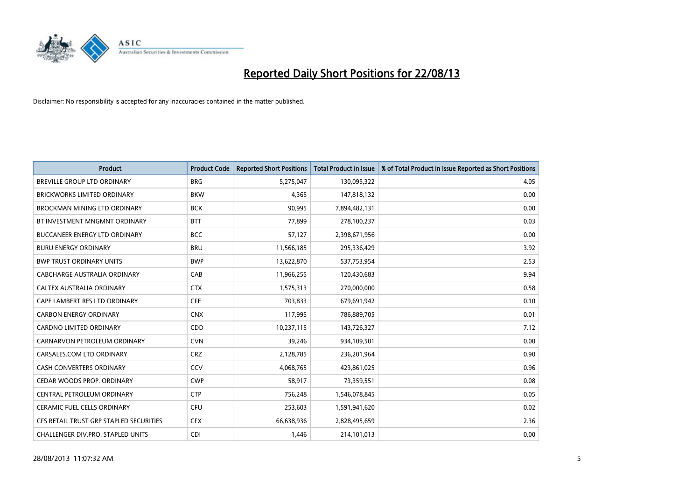

| <b>Product</b>                          | <b>Product Code</b> | <b>Reported Short Positions</b> | <b>Total Product in Issue</b> | % of Total Product in Issue Reported as Short Positions |
|-----------------------------------------|---------------------|---------------------------------|-------------------------------|---------------------------------------------------------|
| <b>BREVILLE GROUP LTD ORDINARY</b>      | <b>BRG</b>          | 5,275,047                       | 130,095,322                   | 4.05                                                    |
| <b>BRICKWORKS LIMITED ORDINARY</b>      | <b>BKW</b>          | 4,365                           | 147,818,132                   | 0.00                                                    |
| <b>BROCKMAN MINING LTD ORDINARY</b>     | <b>BCK</b>          | 90,995                          | 7,894,482,131                 | 0.00                                                    |
| BT INVESTMENT MNGMNT ORDINARY           | <b>BTT</b>          | 77,899                          | 278,100,237                   | 0.03                                                    |
| <b>BUCCANEER ENERGY LTD ORDINARY</b>    | <b>BCC</b>          | 57,127                          | 2,398,671,956                 | 0.00                                                    |
| <b>BURU ENERGY ORDINARY</b>             | <b>BRU</b>          | 11,566,185                      | 295,336,429                   | 3.92                                                    |
| <b>BWP TRUST ORDINARY UNITS</b>         | <b>BWP</b>          | 13,622,870                      | 537,753,954                   | 2.53                                                    |
| CABCHARGE AUSTRALIA ORDINARY            | CAB                 | 11,966,255                      | 120,430,683                   | 9.94                                                    |
| CALTEX AUSTRALIA ORDINARY               | <b>CTX</b>          | 1,575,313                       | 270,000,000                   | 0.58                                                    |
| CAPE LAMBERT RES LTD ORDINARY           | <b>CFE</b>          | 703,833                         | 679,691,942                   | 0.10                                                    |
| <b>CARBON ENERGY ORDINARY</b>           | <b>CNX</b>          | 117,995                         | 786,889,705                   | 0.01                                                    |
| <b>CARDNO LIMITED ORDINARY</b>          | CDD                 | 10,237,115                      | 143,726,327                   | 7.12                                                    |
| CARNARVON PETROLEUM ORDINARY            | <b>CVN</b>          | 39,246                          | 934,109,501                   | 0.00                                                    |
| CARSALES.COM LTD ORDINARY               | <b>CRZ</b>          | 2,128,785                       | 236,201,964                   | 0.90                                                    |
| <b>CASH CONVERTERS ORDINARY</b>         | CCV                 | 4,068,765                       | 423,861,025                   | 0.96                                                    |
| CEDAR WOODS PROP. ORDINARY              | <b>CWP</b>          | 58,917                          | 73,359,551                    | 0.08                                                    |
| CENTRAL PETROLEUM ORDINARY              | <b>CTP</b>          | 756,248                         | 1,546,078,845                 | 0.05                                                    |
| CERAMIC FUEL CELLS ORDINARY             | <b>CFU</b>          | 253,603                         | 1,591,941,620                 | 0.02                                                    |
| CFS RETAIL TRUST GRP STAPLED SECURITIES | <b>CFX</b>          | 66,638,936                      | 2,828,495,659                 | 2.36                                                    |
| CHALLENGER DIV.PRO. STAPLED UNITS       | <b>CDI</b>          | 1,446                           | 214,101,013                   | 0.00                                                    |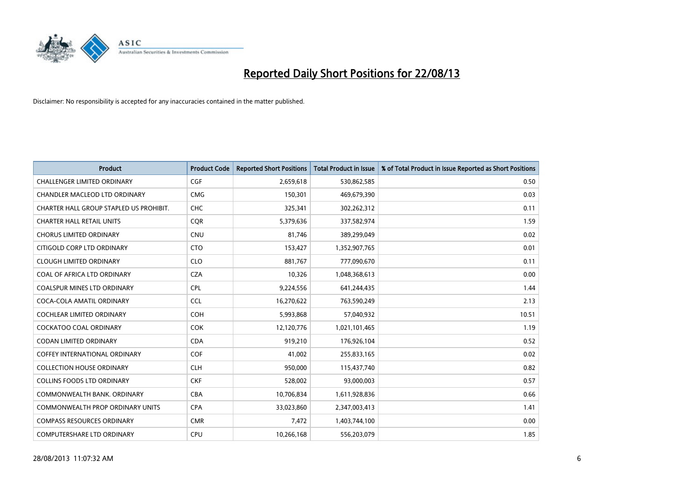

| <b>Product</b>                          | <b>Product Code</b> | <b>Reported Short Positions</b> | <b>Total Product in Issue</b> | % of Total Product in Issue Reported as Short Positions |
|-----------------------------------------|---------------------|---------------------------------|-------------------------------|---------------------------------------------------------|
| <b>CHALLENGER LIMITED ORDINARY</b>      | <b>CGF</b>          | 2,659,618                       | 530,862,585                   | 0.50                                                    |
| CHANDLER MACLEOD LTD ORDINARY           | <b>CMG</b>          | 150,301                         | 469,679,390                   | 0.03                                                    |
| CHARTER HALL GROUP STAPLED US PROHIBIT. | <b>CHC</b>          | 325,341                         | 302,262,312                   | 0.11                                                    |
| <b>CHARTER HALL RETAIL UNITS</b>        | <b>CQR</b>          | 5,379,636                       | 337,582,974                   | 1.59                                                    |
| <b>CHORUS LIMITED ORDINARY</b>          | <b>CNU</b>          | 81,746                          | 389,299,049                   | 0.02                                                    |
| CITIGOLD CORP LTD ORDINARY              | <b>CTO</b>          | 153,427                         | 1,352,907,765                 | 0.01                                                    |
| <b>CLOUGH LIMITED ORDINARY</b>          | <b>CLO</b>          | 881,767                         | 777,090,670                   | 0.11                                                    |
| COAL OF AFRICA LTD ORDINARY             | <b>CZA</b>          | 10,326                          | 1,048,368,613                 | 0.00                                                    |
| <b>COALSPUR MINES LTD ORDINARY</b>      | <b>CPL</b>          | 9,224,556                       | 641,244,435                   | 1.44                                                    |
| COCA-COLA AMATIL ORDINARY               | <b>CCL</b>          | 16,270,622                      | 763,590,249                   | 2.13                                                    |
| COCHLEAR LIMITED ORDINARY               | <b>COH</b>          | 5,993,868                       | 57,040,932                    | 10.51                                                   |
| <b>COCKATOO COAL ORDINARY</b>           | <b>COK</b>          | 12,120,776                      | 1,021,101,465                 | 1.19                                                    |
| <b>CODAN LIMITED ORDINARY</b>           | <b>CDA</b>          | 919,210                         | 176,926,104                   | 0.52                                                    |
| <b>COFFEY INTERNATIONAL ORDINARY</b>    | <b>COF</b>          | 41,002                          | 255,833,165                   | 0.02                                                    |
| <b>COLLECTION HOUSE ORDINARY</b>        | <b>CLH</b>          | 950,000                         | 115,437,740                   | 0.82                                                    |
| <b>COLLINS FOODS LTD ORDINARY</b>       | <b>CKF</b>          | 528,002                         | 93,000,003                    | 0.57                                                    |
| COMMONWEALTH BANK, ORDINARY             | <b>CBA</b>          | 10,706,834                      | 1,611,928,836                 | 0.66                                                    |
| <b>COMMONWEALTH PROP ORDINARY UNITS</b> | <b>CPA</b>          | 33,023,860                      | 2,347,003,413                 | 1.41                                                    |
| <b>COMPASS RESOURCES ORDINARY</b>       | <b>CMR</b>          | 7,472                           | 1,403,744,100                 | 0.00                                                    |
| COMPUTERSHARE LTD ORDINARY              | <b>CPU</b>          | 10,266,168                      | 556,203,079                   | 1.85                                                    |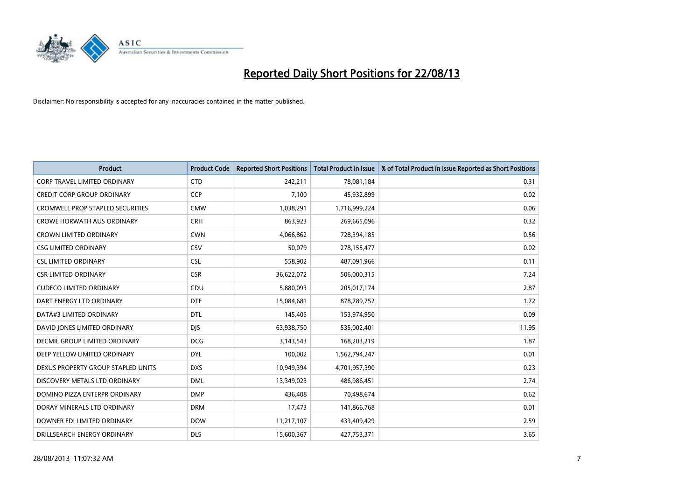

| <b>Product</b>                          | <b>Product Code</b> | <b>Reported Short Positions</b> | <b>Total Product in Issue</b> | % of Total Product in Issue Reported as Short Positions |
|-----------------------------------------|---------------------|---------------------------------|-------------------------------|---------------------------------------------------------|
| <b>CORP TRAVEL LIMITED ORDINARY</b>     | <b>CTD</b>          | 242,211                         | 78,081,184                    | 0.31                                                    |
| <b>CREDIT CORP GROUP ORDINARY</b>       | <b>CCP</b>          | 7,100                           | 45,932,899                    | 0.02                                                    |
| <b>CROMWELL PROP STAPLED SECURITIES</b> | <b>CMW</b>          | 1,038,291                       | 1,716,999,224                 | 0.06                                                    |
| <b>CROWE HORWATH AUS ORDINARY</b>       | <b>CRH</b>          | 863,923                         | 269,665,096                   | 0.32                                                    |
| <b>CROWN LIMITED ORDINARY</b>           | <b>CWN</b>          | 4,066,862                       | 728,394,185                   | 0.56                                                    |
| <b>CSG LIMITED ORDINARY</b>             | CSV                 | 50,079                          | 278,155,477                   | 0.02                                                    |
| <b>CSL LIMITED ORDINARY</b>             | <b>CSL</b>          | 558,902                         | 487,091,966                   | 0.11                                                    |
| <b>CSR LIMITED ORDINARY</b>             | <b>CSR</b>          | 36,622,072                      | 506,000,315                   | 7.24                                                    |
| <b>CUDECO LIMITED ORDINARY</b>          | CDU                 | 5,880,093                       | 205,017,174                   | 2.87                                                    |
| DART ENERGY LTD ORDINARY                | <b>DTE</b>          | 15,084,681                      | 878,789,752                   | 1.72                                                    |
| DATA#3 LIMITED ORDINARY                 | <b>DTL</b>          | 145,405                         | 153,974,950                   | 0.09                                                    |
| DAVID JONES LIMITED ORDINARY            | <b>DJS</b>          | 63,938,750                      | 535,002,401                   | 11.95                                                   |
| <b>DECMIL GROUP LIMITED ORDINARY</b>    | <b>DCG</b>          | 3,143,543                       | 168,203,219                   | 1.87                                                    |
| DEEP YELLOW LIMITED ORDINARY            | <b>DYL</b>          | 100,002                         | 1,562,794,247                 | 0.01                                                    |
| DEXUS PROPERTY GROUP STAPLED UNITS      | <b>DXS</b>          | 10,949,394                      | 4,701,957,390                 | 0.23                                                    |
| DISCOVERY METALS LTD ORDINARY           | <b>DML</b>          | 13,349,023                      | 486,986,451                   | 2.74                                                    |
| DOMINO PIZZA ENTERPR ORDINARY           | <b>DMP</b>          | 436,408                         | 70,498,674                    | 0.62                                                    |
| DORAY MINERALS LTD ORDINARY             | <b>DRM</b>          | 17,473                          | 141,866,768                   | 0.01                                                    |
| DOWNER EDI LIMITED ORDINARY             | <b>DOW</b>          | 11,217,107                      | 433,409,429                   | 2.59                                                    |
| DRILLSEARCH ENERGY ORDINARY             | <b>DLS</b>          | 15,600,367                      | 427,753,371                   | 3.65                                                    |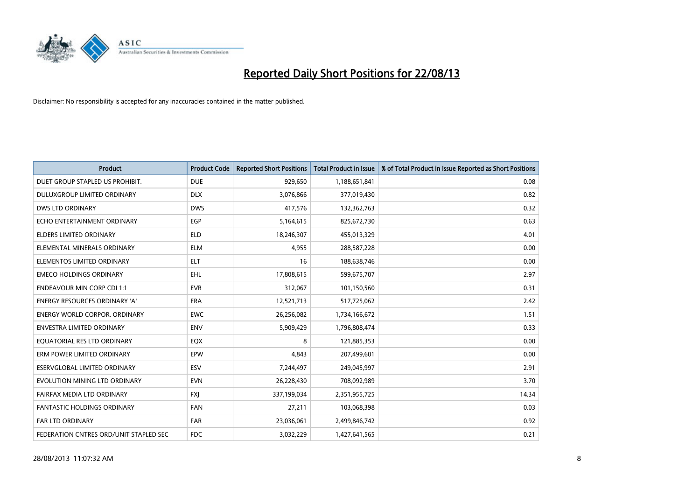

| <b>Product</b>                         | <b>Product Code</b> | <b>Reported Short Positions</b> | <b>Total Product in Issue</b> | % of Total Product in Issue Reported as Short Positions |
|----------------------------------------|---------------------|---------------------------------|-------------------------------|---------------------------------------------------------|
| DUET GROUP STAPLED US PROHIBIT.        | <b>DUE</b>          | 929,650                         | 1,188,651,841                 | 0.08                                                    |
| DULUXGROUP LIMITED ORDINARY            | <b>DLX</b>          | 3,076,866                       | 377,019,430                   | 0.82                                                    |
| <b>DWS LTD ORDINARY</b>                | <b>DWS</b>          | 417,576                         | 132,362,763                   | 0.32                                                    |
| ECHO ENTERTAINMENT ORDINARY            | <b>EGP</b>          | 5,164,615                       | 825,672,730                   | 0.63                                                    |
| <b>ELDERS LIMITED ORDINARY</b>         | <b>ELD</b>          | 18,246,307                      | 455,013,329                   | 4.01                                                    |
| ELEMENTAL MINERALS ORDINARY            | <b>ELM</b>          | 4,955                           | 288,587,228                   | 0.00                                                    |
| ELEMENTOS LIMITED ORDINARY             | ELT                 | 16                              | 188,638,746                   | 0.00                                                    |
| <b>EMECO HOLDINGS ORDINARY</b>         | <b>EHL</b>          | 17,808,615                      | 599,675,707                   | 2.97                                                    |
| <b>ENDEAVOUR MIN CORP CDI 1:1</b>      | <b>EVR</b>          | 312,067                         | 101,150,560                   | 0.31                                                    |
| <b>ENERGY RESOURCES ORDINARY 'A'</b>   | <b>ERA</b>          | 12,521,713                      | 517,725,062                   | 2.42                                                    |
| <b>ENERGY WORLD CORPOR. ORDINARY</b>   | <b>EWC</b>          | 26,256,082                      | 1,734,166,672                 | 1.51                                                    |
| <b>ENVESTRA LIMITED ORDINARY</b>       | <b>ENV</b>          | 5,909,429                       | 1,796,808,474                 | 0.33                                                    |
| EQUATORIAL RES LTD ORDINARY            | EQX                 | 8                               | 121,885,353                   | 0.00                                                    |
| ERM POWER LIMITED ORDINARY             | EPW                 | 4,843                           | 207,499,601                   | 0.00                                                    |
| <b>ESERVGLOBAL LIMITED ORDINARY</b>    | ESV                 | 7,244,497                       | 249,045,997                   | 2.91                                                    |
| EVOLUTION MINING LTD ORDINARY          | <b>EVN</b>          | 26,228,430                      | 708,092,989                   | 3.70                                                    |
| FAIRFAX MEDIA LTD ORDINARY             | <b>FXI</b>          | 337,199,034                     | 2,351,955,725                 | 14.34                                                   |
| FANTASTIC HOLDINGS ORDINARY            | <b>FAN</b>          | 27,211                          | 103,068,398                   | 0.03                                                    |
| FAR LTD ORDINARY                       | <b>FAR</b>          | 23,036,061                      | 2,499,846,742                 | 0.92                                                    |
| FEDERATION CNTRES ORD/UNIT STAPLED SEC | <b>FDC</b>          | 3,032,229                       | 1,427,641,565                 | 0.21                                                    |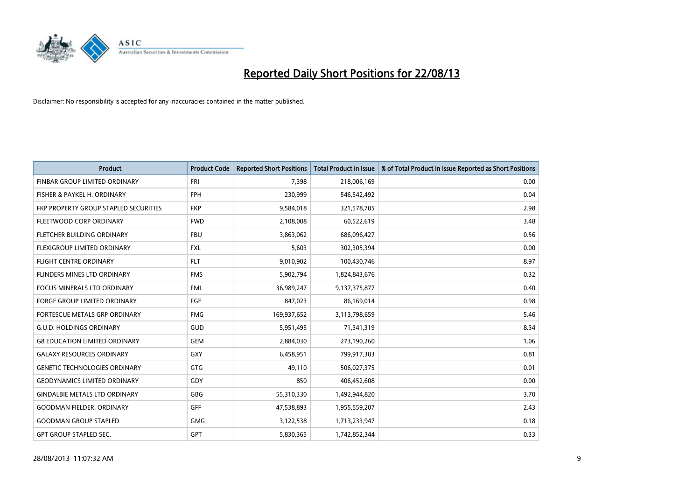

| <b>Product</b>                        | <b>Product Code</b> | <b>Reported Short Positions</b> | <b>Total Product in Issue</b> | % of Total Product in Issue Reported as Short Positions |
|---------------------------------------|---------------------|---------------------------------|-------------------------------|---------------------------------------------------------|
| FINBAR GROUP LIMITED ORDINARY         | <b>FRI</b>          | 7,398                           | 218,006,169                   | 0.00                                                    |
| FISHER & PAYKEL H. ORDINARY           | <b>FPH</b>          | 230,999                         | 546,542,492                   | 0.04                                                    |
| FKP PROPERTY GROUP STAPLED SECURITIES | <b>FKP</b>          | 9,584,018                       | 321,578,705                   | 2.98                                                    |
| FLEETWOOD CORP ORDINARY               | <b>FWD</b>          | 2,108,008                       | 60,522,619                    | 3.48                                                    |
| FLETCHER BUILDING ORDINARY            | <b>FBU</b>          | 3,863,062                       | 686,096,427                   | 0.56                                                    |
| FLEXIGROUP LIMITED ORDINARY           | <b>FXL</b>          | 5,603                           | 302,305,394                   | 0.00                                                    |
| <b>FLIGHT CENTRE ORDINARY</b>         | <b>FLT</b>          | 9,010,902                       | 100,430,746                   | 8.97                                                    |
| FLINDERS MINES LTD ORDINARY           | <b>FMS</b>          | 5,902,794                       | 1,824,843,676                 | 0.32                                                    |
| <b>FOCUS MINERALS LTD ORDINARY</b>    | <b>FML</b>          | 36,989,247                      | 9,137,375,877                 | 0.40                                                    |
| <b>FORGE GROUP LIMITED ORDINARY</b>   | FGE                 | 847,023                         | 86,169,014                    | 0.98                                                    |
| FORTESCUE METALS GRP ORDINARY         | <b>FMG</b>          | 169,937,652                     | 3,113,798,659                 | 5.46                                                    |
| <b>G.U.D. HOLDINGS ORDINARY</b>       | GUD                 | 5,951,495                       | 71,341,319                    | 8.34                                                    |
| <b>G8 EDUCATION LIMITED ORDINARY</b>  | <b>GEM</b>          | 2,884,030                       | 273,190,260                   | 1.06                                                    |
| <b>GALAXY RESOURCES ORDINARY</b>      | GXY                 | 6,458,951                       | 799,917,303                   | 0.81                                                    |
| <b>GENETIC TECHNOLOGIES ORDINARY</b>  | GTG                 | 49,110                          | 506,027,375                   | 0.01                                                    |
| <b>GEODYNAMICS LIMITED ORDINARY</b>   | GDY                 | 850                             | 406,452,608                   | 0.00                                                    |
| <b>GINDALBIE METALS LTD ORDINARY</b>  | GBG                 | 55,310,330                      | 1,492,944,820                 | 3.70                                                    |
| <b>GOODMAN FIELDER, ORDINARY</b>      | <b>GFF</b>          | 47,538,893                      | 1,955,559,207                 | 2.43                                                    |
| <b>GOODMAN GROUP STAPLED</b>          | <b>GMG</b>          | 3,122,538                       | 1,713,233,947                 | 0.18                                                    |
| GPT GROUP STAPLED SEC.                | GPT                 | 5,830,365                       | 1,742,852,344                 | 0.33                                                    |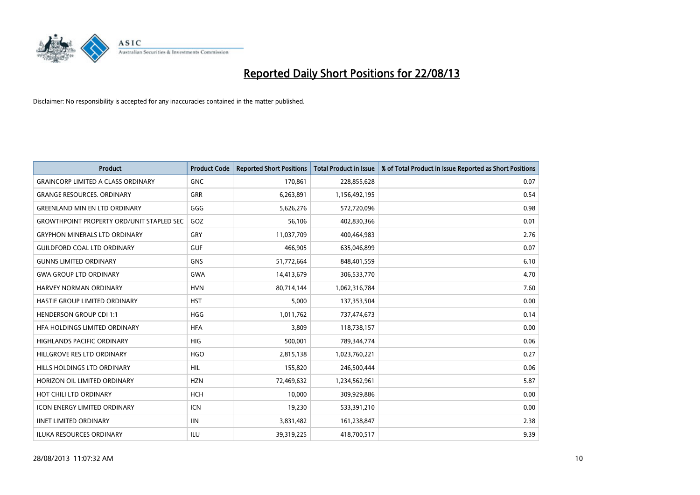

| <b>Product</b>                                   | <b>Product Code</b> | <b>Reported Short Positions</b> | <b>Total Product in Issue</b> | % of Total Product in Issue Reported as Short Positions |
|--------------------------------------------------|---------------------|---------------------------------|-------------------------------|---------------------------------------------------------|
| <b>GRAINCORP LIMITED A CLASS ORDINARY</b>        | <b>GNC</b>          | 170,861                         | 228,855,628                   | 0.07                                                    |
| <b>GRANGE RESOURCES, ORDINARY</b>                | GRR                 | 6,263,891                       | 1,156,492,195                 | 0.54                                                    |
| <b>GREENLAND MIN EN LTD ORDINARY</b>             | GGG                 | 5,626,276                       | 572,720,096                   | 0.98                                                    |
| <b>GROWTHPOINT PROPERTY ORD/UNIT STAPLED SEC</b> | GOZ                 | 56,106                          | 402,830,366                   | 0.01                                                    |
| <b>GRYPHON MINERALS LTD ORDINARY</b>             | GRY                 | 11,037,709                      | 400,464,983                   | 2.76                                                    |
| <b>GUILDFORD COAL LTD ORDINARY</b>               | <b>GUF</b>          | 466,905                         | 635,046,899                   | 0.07                                                    |
| <b>GUNNS LIMITED ORDINARY</b>                    | <b>GNS</b>          | 51,772,664                      | 848,401,559                   | 6.10                                                    |
| <b>GWA GROUP LTD ORDINARY</b>                    | <b>GWA</b>          | 14,413,679                      | 306,533,770                   | 4.70                                                    |
| <b>HARVEY NORMAN ORDINARY</b>                    | <b>HVN</b>          | 80,714,144                      | 1,062,316,784                 | 7.60                                                    |
| HASTIE GROUP LIMITED ORDINARY                    | <b>HST</b>          | 5,000                           | 137,353,504                   | 0.00                                                    |
| <b>HENDERSON GROUP CDI 1:1</b>                   | <b>HGG</b>          | 1,011,762                       | 737,474,673                   | 0.14                                                    |
| HFA HOLDINGS LIMITED ORDINARY                    | <b>HFA</b>          | 3,809                           | 118,738,157                   | 0.00                                                    |
| <b>HIGHLANDS PACIFIC ORDINARY</b>                | <b>HIG</b>          | 500,001                         | 789,344,774                   | 0.06                                                    |
| HILLGROVE RES LTD ORDINARY                       | <b>HGO</b>          | 2,815,138                       | 1,023,760,221                 | 0.27                                                    |
| HILLS HOLDINGS LTD ORDINARY                      | <b>HIL</b>          | 155,820                         | 246,500,444                   | 0.06                                                    |
| HORIZON OIL LIMITED ORDINARY                     | <b>HZN</b>          | 72,469,632                      | 1,234,562,961                 | 5.87                                                    |
| HOT CHILI LTD ORDINARY                           | <b>HCH</b>          | 10,000                          | 309,929,886                   | 0.00                                                    |
| <b>ICON ENERGY LIMITED ORDINARY</b>              | <b>ICN</b>          | 19,230                          | 533,391,210                   | 0.00                                                    |
| <b>IINET LIMITED ORDINARY</b>                    | <b>IIN</b>          | 3,831,482                       | 161,238,847                   | 2.38                                                    |
| ILUKA RESOURCES ORDINARY                         | ILU                 | 39,319,225                      | 418,700,517                   | 9.39                                                    |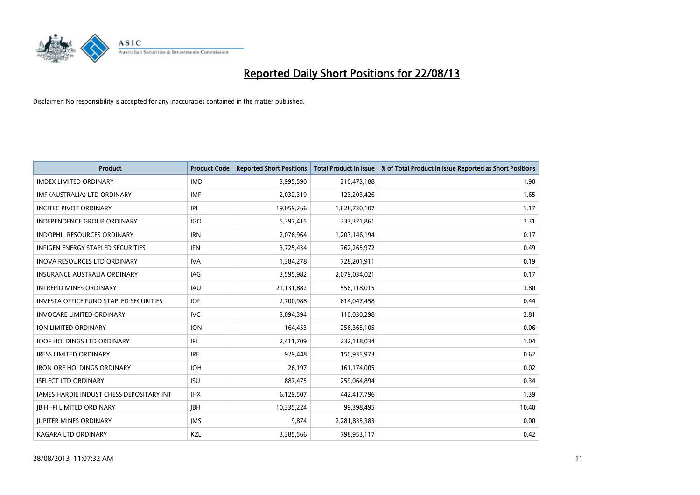

| <b>Product</b>                                | <b>Product Code</b> | <b>Reported Short Positions</b> | <b>Total Product in Issue</b> | % of Total Product in Issue Reported as Short Positions |
|-----------------------------------------------|---------------------|---------------------------------|-------------------------------|---------------------------------------------------------|
| <b>IMDEX LIMITED ORDINARY</b>                 | <b>IMD</b>          | 3,995,590                       | 210,473,188                   | 1.90                                                    |
| IMF (AUSTRALIA) LTD ORDINARY                  | IMF                 | 2,032,319                       | 123,203,426                   | 1.65                                                    |
| <b>INCITEC PIVOT ORDINARY</b>                 | <b>IPL</b>          | 19,059,266                      | 1,628,730,107                 | 1.17                                                    |
| INDEPENDENCE GROUP ORDINARY                   | <b>IGO</b>          | 5,397,415                       | 233,321,861                   | 2.31                                                    |
| <b>INDOPHIL RESOURCES ORDINARY</b>            | <b>IRN</b>          | 2,076,964                       | 1,203,146,194                 | 0.17                                                    |
| <b>INFIGEN ENERGY STAPLED SECURITIES</b>      | <b>IFN</b>          | 3,725,434                       | 762,265,972                   | 0.49                                                    |
| <b>INOVA RESOURCES LTD ORDINARY</b>           | <b>IVA</b>          | 1,384,278                       | 728,201,911                   | 0.19                                                    |
| INSURANCE AUSTRALIA ORDINARY                  | <b>IAG</b>          | 3,595,982                       | 2,079,034,021                 | 0.17                                                    |
| <b>INTREPID MINES ORDINARY</b>                | <b>IAU</b>          | 21,131,882                      | 556,118,015                   | 3.80                                                    |
| <b>INVESTA OFFICE FUND STAPLED SECURITIES</b> | <b>IOF</b>          | 2,700,988                       | 614,047,458                   | 0.44                                                    |
| <b>INVOCARE LIMITED ORDINARY</b>              | <b>IVC</b>          | 3,094,394                       | 110,030,298                   | 2.81                                                    |
| ION LIMITED ORDINARY                          | <b>ION</b>          | 164,453                         | 256,365,105                   | 0.06                                                    |
| <b>IOOF HOLDINGS LTD ORDINARY</b>             | IFL.                | 2,411,709                       | 232,118,034                   | 1.04                                                    |
| <b>IRESS LIMITED ORDINARY</b>                 | <b>IRE</b>          | 929,448                         | 150,935,973                   | 0.62                                                    |
| <b>IRON ORE HOLDINGS ORDINARY</b>             | <b>IOH</b>          | 26,197                          | 161,174,005                   | 0.02                                                    |
| <b>ISELECT LTD ORDINARY</b>                   | <b>ISU</b>          | 887,475                         | 259,064,894                   | 0.34                                                    |
| JAMES HARDIE INDUST CHESS DEPOSITARY INT      | <b>IHX</b>          | 6,129,507                       | 442,417,796                   | 1.39                                                    |
| <b>JB HI-FI LIMITED ORDINARY</b>              | <b>JBH</b>          | 10,335,224                      | 99,398,495                    | 10.40                                                   |
| <b>JUPITER MINES ORDINARY</b>                 | <b>IMS</b>          | 9,874                           | 2,281,835,383                 | 0.00                                                    |
| <b>KAGARA LTD ORDINARY</b>                    | KZL                 | 3,385,566                       | 798,953,117                   | 0.42                                                    |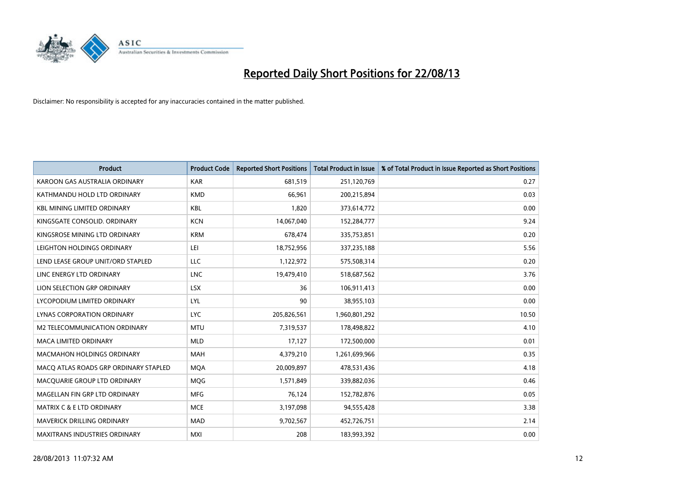

| <b>Product</b>                        | <b>Product Code</b> | <b>Reported Short Positions</b> | <b>Total Product in Issue</b> | % of Total Product in Issue Reported as Short Positions |
|---------------------------------------|---------------------|---------------------------------|-------------------------------|---------------------------------------------------------|
| KAROON GAS AUSTRALIA ORDINARY         | <b>KAR</b>          | 681,519                         | 251,120,769                   | 0.27                                                    |
| KATHMANDU HOLD LTD ORDINARY           | <b>KMD</b>          | 66,961                          | 200,215,894                   | 0.03                                                    |
| <b>KBL MINING LIMITED ORDINARY</b>    | <b>KBL</b>          | 1,820                           | 373,614,772                   | 0.00                                                    |
| KINGSGATE CONSOLID. ORDINARY          | <b>KCN</b>          | 14,067,040                      | 152,284,777                   | 9.24                                                    |
| KINGSROSE MINING LTD ORDINARY         | <b>KRM</b>          | 678,474                         | 335,753,851                   | 0.20                                                    |
| LEIGHTON HOLDINGS ORDINARY            | LEI                 | 18,752,956                      | 337,235,188                   | 5.56                                                    |
| LEND LEASE GROUP UNIT/ORD STAPLED     | LLC                 | 1,122,972                       | 575,508,314                   | 0.20                                                    |
| LINC ENERGY LTD ORDINARY              | <b>LNC</b>          | 19,479,410                      | 518,687,562                   | 3.76                                                    |
| LION SELECTION GRP ORDINARY           | <b>LSX</b>          | 36                              | 106,911,413                   | 0.00                                                    |
| LYCOPODIUM LIMITED ORDINARY           | LYL                 | 90                              | 38,955,103                    | 0.00                                                    |
| LYNAS CORPORATION ORDINARY            | <b>LYC</b>          | 205,826,561                     | 1,960,801,292                 | 10.50                                                   |
| M2 TELECOMMUNICATION ORDINARY         | <b>MTU</b>          | 7,319,537                       | 178,498,822                   | 4.10                                                    |
| <b>MACA LIMITED ORDINARY</b>          | <b>MLD</b>          | 17,127                          | 172,500,000                   | 0.01                                                    |
| <b>MACMAHON HOLDINGS ORDINARY</b>     | <b>MAH</b>          | 4,379,210                       | 1,261,699,966                 | 0.35                                                    |
| MACO ATLAS ROADS GRP ORDINARY STAPLED | <b>MQA</b>          | 20,009,897                      | 478,531,436                   | 4.18                                                    |
| MACQUARIE GROUP LTD ORDINARY          | <b>MOG</b>          | 1,571,849                       | 339,882,036                   | 0.46                                                    |
| MAGELLAN FIN GRP LTD ORDINARY         | <b>MFG</b>          | 76,124                          | 152,782,876                   | 0.05                                                    |
| <b>MATRIX C &amp; E LTD ORDINARY</b>  | <b>MCE</b>          | 3,197,098                       | 94,555,428                    | 3.38                                                    |
| MAVERICK DRILLING ORDINARY            | <b>MAD</b>          | 9,702,567                       | 452,726,751                   | 2.14                                                    |
| <b>MAXITRANS INDUSTRIES ORDINARY</b>  | <b>MXI</b>          | 208                             | 183,993,392                   | 0.00                                                    |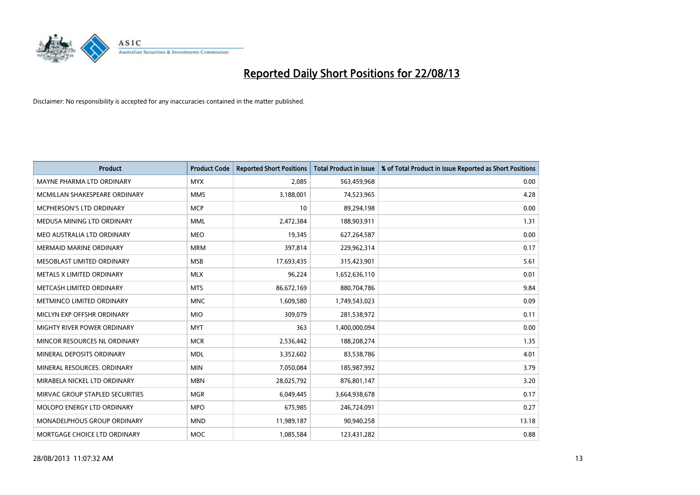

| <b>Product</b>                  | <b>Product Code</b> | <b>Reported Short Positions</b> | <b>Total Product in Issue</b> | % of Total Product in Issue Reported as Short Positions |
|---------------------------------|---------------------|---------------------------------|-------------------------------|---------------------------------------------------------|
| MAYNE PHARMA LTD ORDINARY       | <b>MYX</b>          | 2,085                           | 563,459,968                   | 0.00                                                    |
| MCMILLAN SHAKESPEARE ORDINARY   | <b>MMS</b>          | 3,188,001                       | 74,523,965                    | 4.28                                                    |
| MCPHERSON'S LTD ORDINARY        | <b>MCP</b>          | 10                              | 89,294,198                    | 0.00                                                    |
| MEDUSA MINING LTD ORDINARY      | <b>MML</b>          | 2,472,384                       | 188,903,911                   | 1.31                                                    |
| MEO AUSTRALIA LTD ORDINARY      | <b>MEO</b>          | 19,345                          | 627,264,587                   | 0.00                                                    |
| <b>MERMAID MARINE ORDINARY</b>  | <b>MRM</b>          | 397,814                         | 229,962,314                   | 0.17                                                    |
| MESOBLAST LIMITED ORDINARY      | <b>MSB</b>          | 17,693,435                      | 315,423,901                   | 5.61                                                    |
| METALS X LIMITED ORDINARY       | <b>MLX</b>          | 96,224                          | 1,652,636,110                 | 0.01                                                    |
| METCASH LIMITED ORDINARY        | <b>MTS</b>          | 86,672,169                      | 880,704,786                   | 9.84                                                    |
| METMINCO LIMITED ORDINARY       | <b>MNC</b>          | 1,609,580                       | 1,749,543,023                 | 0.09                                                    |
| MICLYN EXP OFFSHR ORDINARY      | <b>MIO</b>          | 309,079                         | 281,538,972                   | 0.11                                                    |
| MIGHTY RIVER POWER ORDINARY     | <b>MYT</b>          | 363                             | 1,400,000,094                 | 0.00                                                    |
| MINCOR RESOURCES NL ORDINARY    | <b>MCR</b>          | 2,536,442                       | 188,208,274                   | 1.35                                                    |
| MINERAL DEPOSITS ORDINARY       | <b>MDL</b>          | 3,352,602                       | 83,538,786                    | 4.01                                                    |
| MINERAL RESOURCES, ORDINARY     | <b>MIN</b>          | 7,050,084                       | 185,987,992                   | 3.79                                                    |
| MIRABELA NICKEL LTD ORDINARY    | <b>MBN</b>          | 28,025,792                      | 876,801,147                   | 3.20                                                    |
| MIRVAC GROUP STAPLED SECURITIES | <b>MGR</b>          | 6,049,445                       | 3,664,938,678                 | 0.17                                                    |
| MOLOPO ENERGY LTD ORDINARY      | <b>MPO</b>          | 675,985                         | 246,724,091                   | 0.27                                                    |
| MONADELPHOUS GROUP ORDINARY     | <b>MND</b>          | 11,989,187                      | 90,940,258                    | 13.18                                                   |
| MORTGAGE CHOICE LTD ORDINARY    | MOC                 | 1,085,584                       | 123,431,282                   | 0.88                                                    |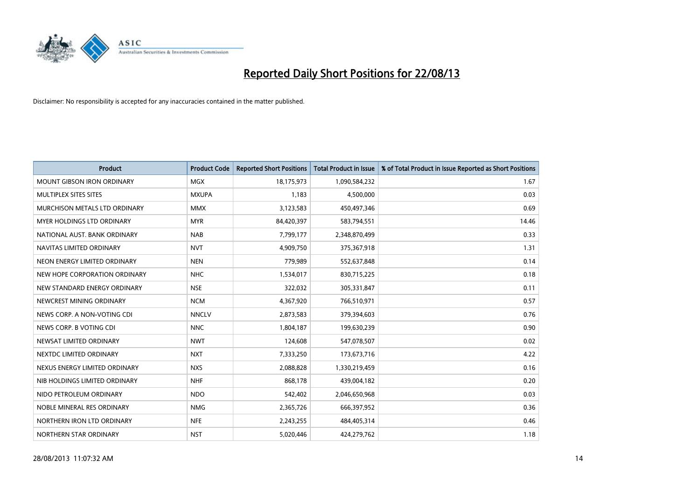

| <b>Product</b>                    | <b>Product Code</b> | <b>Reported Short Positions</b> | <b>Total Product in Issue</b> | % of Total Product in Issue Reported as Short Positions |
|-----------------------------------|---------------------|---------------------------------|-------------------------------|---------------------------------------------------------|
| <b>MOUNT GIBSON IRON ORDINARY</b> | MGX                 | 18,175,973                      | 1,090,584,232                 | 1.67                                                    |
| MULTIPLEX SITES SITES             | <b>MXUPA</b>        | 1,183                           | 4,500,000                     | 0.03                                                    |
| MURCHISON METALS LTD ORDINARY     | <b>MMX</b>          | 3,123,583                       | 450,497,346                   | 0.69                                                    |
| MYER HOLDINGS LTD ORDINARY        | <b>MYR</b>          | 84,420,397                      | 583,794,551                   | 14.46                                                   |
| NATIONAL AUST, BANK ORDINARY      | <b>NAB</b>          | 7,799,177                       | 2,348,870,499                 | 0.33                                                    |
| NAVITAS LIMITED ORDINARY          | <b>NVT</b>          | 4,909,750                       | 375,367,918                   | 1.31                                                    |
| NEON ENERGY LIMITED ORDINARY      | <b>NEN</b>          | 779,989                         | 552,637,848                   | 0.14                                                    |
| NEW HOPE CORPORATION ORDINARY     | <b>NHC</b>          | 1,534,017                       | 830,715,225                   | 0.18                                                    |
| NEW STANDARD ENERGY ORDINARY      | <b>NSE</b>          | 322,032                         | 305,331,847                   | 0.11                                                    |
| NEWCREST MINING ORDINARY          | <b>NCM</b>          | 4,367,920                       | 766,510,971                   | 0.57                                                    |
| NEWS CORP. A NON-VOTING CDI       | <b>NNCLV</b>        | 2,873,583                       | 379,394,603                   | 0.76                                                    |
| NEWS CORP. B VOTING CDI           | <b>NNC</b>          | 1,804,187                       | 199,630,239                   | 0.90                                                    |
| NEWSAT LIMITED ORDINARY           | <b>NWT</b>          | 124,608                         | 547,078,507                   | 0.02                                                    |
| NEXTDC LIMITED ORDINARY           | <b>NXT</b>          | 7,333,250                       | 173,673,716                   | 4.22                                                    |
| NEXUS ENERGY LIMITED ORDINARY     | <b>NXS</b>          | 2,088,828                       | 1,330,219,459                 | 0.16                                                    |
| NIB HOLDINGS LIMITED ORDINARY     | <b>NHF</b>          | 868,178                         | 439,004,182                   | 0.20                                                    |
| NIDO PETROLEUM ORDINARY           | <b>NDO</b>          | 542,402                         | 2,046,650,968                 | 0.03                                                    |
| NOBLE MINERAL RES ORDINARY        | <b>NMG</b>          | 2,365,726                       | 666,397,952                   | 0.36                                                    |
| NORTHERN IRON LTD ORDINARY        | <b>NFE</b>          | 2,243,255                       | 484,405,314                   | 0.46                                                    |
| NORTHERN STAR ORDINARY            | <b>NST</b>          | 5,020,446                       | 424,279,762                   | 1.18                                                    |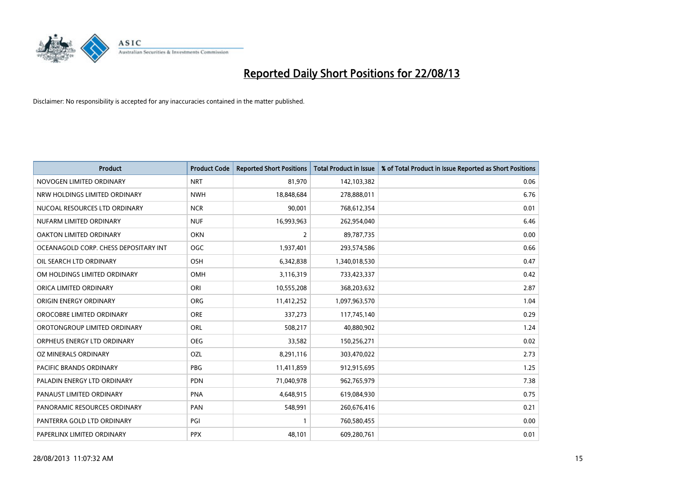

| <b>Product</b>                        | <b>Product Code</b> | <b>Reported Short Positions</b> | <b>Total Product in Issue</b> | % of Total Product in Issue Reported as Short Positions |
|---------------------------------------|---------------------|---------------------------------|-------------------------------|---------------------------------------------------------|
| NOVOGEN LIMITED ORDINARY              | <b>NRT</b>          | 81,970                          | 142,103,382                   | 0.06                                                    |
| NRW HOLDINGS LIMITED ORDINARY         | <b>NWH</b>          | 18,848,684                      | 278,888,011                   | 6.76                                                    |
| NUCOAL RESOURCES LTD ORDINARY         | <b>NCR</b>          | 90,001                          | 768,612,354                   | 0.01                                                    |
| NUFARM LIMITED ORDINARY               | <b>NUF</b>          | 16,993,963                      | 262,954,040                   | 6.46                                                    |
| <b>OAKTON LIMITED ORDINARY</b>        | <b>OKN</b>          | 2                               | 89,787,735                    | 0.00                                                    |
| OCEANAGOLD CORP. CHESS DEPOSITARY INT | <b>OGC</b>          | 1,937,401                       | 293,574,586                   | 0.66                                                    |
| OIL SEARCH LTD ORDINARY               | OSH                 | 6,342,838                       | 1,340,018,530                 | 0.47                                                    |
| OM HOLDINGS LIMITED ORDINARY          | OMH                 | 3,116,319                       | 733,423,337                   | 0.42                                                    |
| ORICA LIMITED ORDINARY                | ORI                 | 10,555,208                      | 368,203,632                   | 2.87                                                    |
| ORIGIN ENERGY ORDINARY                | ORG                 | 11,412,252                      | 1,097,963,570                 | 1.04                                                    |
| OROCOBRE LIMITED ORDINARY             | <b>ORE</b>          | 337,273                         | 117,745,140                   | 0.29                                                    |
| OROTONGROUP LIMITED ORDINARY          | ORL                 | 508,217                         | 40,880,902                    | 1.24                                                    |
| ORPHEUS ENERGY LTD ORDINARY           | <b>OEG</b>          | 33,582                          | 150,256,271                   | 0.02                                                    |
| OZ MINERALS ORDINARY                  | OZL                 | 8,291,116                       | 303,470,022                   | 2.73                                                    |
| PACIFIC BRANDS ORDINARY               | <b>PBG</b>          | 11,411,859                      | 912,915,695                   | 1.25                                                    |
| PALADIN ENERGY LTD ORDINARY           | PDN                 | 71,040,978                      | 962,765,979                   | 7.38                                                    |
| PANAUST LIMITED ORDINARY              | <b>PNA</b>          | 4,648,915                       | 619,084,930                   | 0.75                                                    |
| PANORAMIC RESOURCES ORDINARY          | PAN                 | 548,991                         | 260,676,416                   | 0.21                                                    |
| PANTERRA GOLD LTD ORDINARY            | PGI                 | $\mathbf{1}$                    | 760,580,455                   | 0.00                                                    |
| PAPERLINX LIMITED ORDINARY            | <b>PPX</b>          | 48,101                          | 609,280,761                   | 0.01                                                    |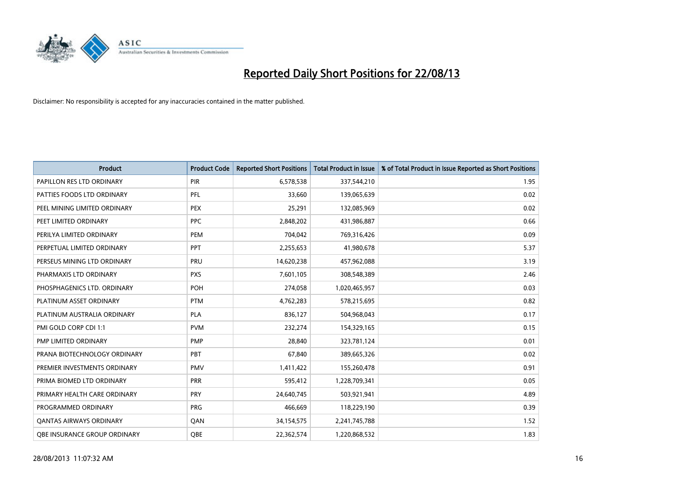

| Product                        | <b>Product Code</b> | <b>Reported Short Positions</b> | <b>Total Product in Issue</b> | % of Total Product in Issue Reported as Short Positions |
|--------------------------------|---------------------|---------------------------------|-------------------------------|---------------------------------------------------------|
| PAPILLON RES LTD ORDINARY      | <b>PIR</b>          | 6,578,538                       | 337,544,210                   | 1.95                                                    |
| PATTIES FOODS LTD ORDINARY     | PFL                 | 33,660                          | 139,065,639                   | 0.02                                                    |
| PEEL MINING LIMITED ORDINARY   | <b>PEX</b>          | 25,291                          | 132,085,969                   | 0.02                                                    |
| PEET LIMITED ORDINARY          | <b>PPC</b>          | 2,848,202                       | 431,986,887                   | 0.66                                                    |
| PERILYA LIMITED ORDINARY       | PEM                 | 704,042                         | 769,316,426                   | 0.09                                                    |
| PERPETUAL LIMITED ORDINARY     | PPT                 | 2,255,653                       | 41,980,678                    | 5.37                                                    |
| PERSEUS MINING LTD ORDINARY    | PRU                 | 14,620,238                      | 457,962,088                   | 3.19                                                    |
| PHARMAXIS LTD ORDINARY         | <b>PXS</b>          | 7,601,105                       | 308,548,389                   | 2.46                                                    |
| PHOSPHAGENICS LTD. ORDINARY    | POH                 | 274,058                         | 1,020,465,957                 | 0.03                                                    |
| PLATINUM ASSET ORDINARY        | <b>PTM</b>          | 4,762,283                       | 578,215,695                   | 0.82                                                    |
| PLATINUM AUSTRALIA ORDINARY    | <b>PLA</b>          | 836,127                         | 504,968,043                   | 0.17                                                    |
| PMI GOLD CORP CDI 1:1          | <b>PVM</b>          | 232,274                         | 154,329,165                   | 0.15                                                    |
| PMP LIMITED ORDINARY           | <b>PMP</b>          | 28,840                          | 323,781,124                   | 0.01                                                    |
| PRANA BIOTECHNOLOGY ORDINARY   | PBT                 | 67,840                          | 389,665,326                   | 0.02                                                    |
| PREMIER INVESTMENTS ORDINARY   | <b>PMV</b>          | 1,411,422                       | 155,260,478                   | 0.91                                                    |
| PRIMA BIOMED LTD ORDINARY      | <b>PRR</b>          | 595,412                         | 1,228,709,341                 | 0.05                                                    |
| PRIMARY HEALTH CARE ORDINARY   | <b>PRY</b>          | 24,640,745                      | 503,921,941                   | 4.89                                                    |
| PROGRAMMED ORDINARY            | <b>PRG</b>          | 466,669                         | 118,229,190                   | 0.39                                                    |
| <b>QANTAS AIRWAYS ORDINARY</b> | QAN                 | 34,154,575                      | 2,241,745,788                 | 1.52                                                    |
| OBE INSURANCE GROUP ORDINARY   | QBE                 | 22,362,574                      | 1,220,868,532                 | 1.83                                                    |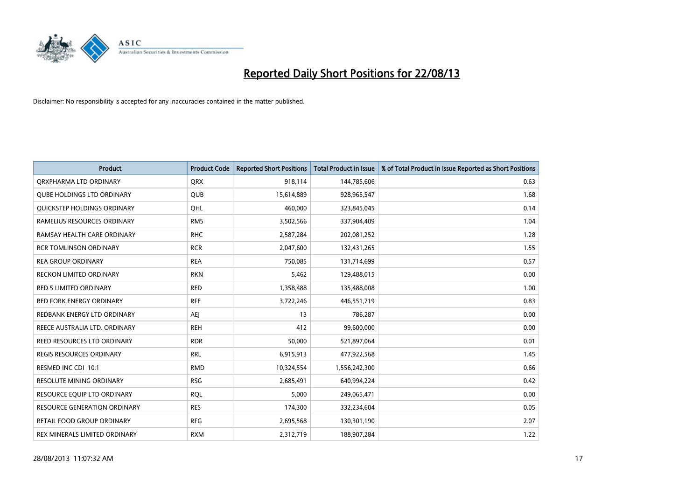

| <b>Product</b>                      | <b>Product Code</b> | <b>Reported Short Positions</b> | <b>Total Product in Issue</b> | % of Total Product in Issue Reported as Short Positions |
|-------------------------------------|---------------------|---------------------------------|-------------------------------|---------------------------------------------------------|
| ORXPHARMA LTD ORDINARY              | <b>QRX</b>          | 918,114                         | 144,785,606                   | 0.63                                                    |
| <b>QUBE HOLDINGS LTD ORDINARY</b>   | <b>QUB</b>          | 15,614,889                      | 928,965,547                   | 1.68                                                    |
| QUICKSTEP HOLDINGS ORDINARY         | OHL                 | 460,000                         | 323,845,045                   | 0.14                                                    |
| RAMELIUS RESOURCES ORDINARY         | <b>RMS</b>          | 3,502,566                       | 337,904,409                   | 1.04                                                    |
| RAMSAY HEALTH CARE ORDINARY         | <b>RHC</b>          | 2,587,284                       | 202,081,252                   | 1.28                                                    |
| <b>RCR TOMLINSON ORDINARY</b>       | <b>RCR</b>          | 2,047,600                       | 132,431,265                   | 1.55                                                    |
| <b>REA GROUP ORDINARY</b>           | <b>REA</b>          | 750,085                         | 131,714,699                   | 0.57                                                    |
| RECKON LIMITED ORDINARY             | <b>RKN</b>          | 5,462                           | 129,488,015                   | 0.00                                                    |
| <b>RED 5 LIMITED ORDINARY</b>       | <b>RED</b>          | 1,358,488                       | 135,488,008                   | 1.00                                                    |
| <b>RED FORK ENERGY ORDINARY</b>     | <b>RFE</b>          | 3,722,246                       | 446,551,719                   | 0.83                                                    |
| REDBANK ENERGY LTD ORDINARY         | <b>AEJ</b>          | 13                              | 786,287                       | 0.00                                                    |
| REECE AUSTRALIA LTD. ORDINARY       | <b>REH</b>          | 412                             | 99,600,000                    | 0.00                                                    |
| REED RESOURCES LTD ORDINARY         | <b>RDR</b>          | 50,000                          | 521,897,064                   | 0.01                                                    |
| REGIS RESOURCES ORDINARY            | <b>RRL</b>          | 6,915,913                       | 477,922,568                   | 1.45                                                    |
| RESMED INC CDI 10:1                 | <b>RMD</b>          | 10,324,554                      | 1,556,242,300                 | 0.66                                                    |
| RESOLUTE MINING ORDINARY            | <b>RSG</b>          | 2,685,491                       | 640,994,224                   | 0.42                                                    |
| RESOURCE EQUIP LTD ORDINARY         | <b>RQL</b>          | 5,000                           | 249,065,471                   | 0.00                                                    |
| <b>RESOURCE GENERATION ORDINARY</b> | <b>RES</b>          | 174,300                         | 332,234,604                   | 0.05                                                    |
| <b>RETAIL FOOD GROUP ORDINARY</b>   | <b>RFG</b>          | 2,695,568                       | 130,301,190                   | 2.07                                                    |
| REX MINERALS LIMITED ORDINARY       | <b>RXM</b>          | 2,312,719                       | 188,907,284                   | 1.22                                                    |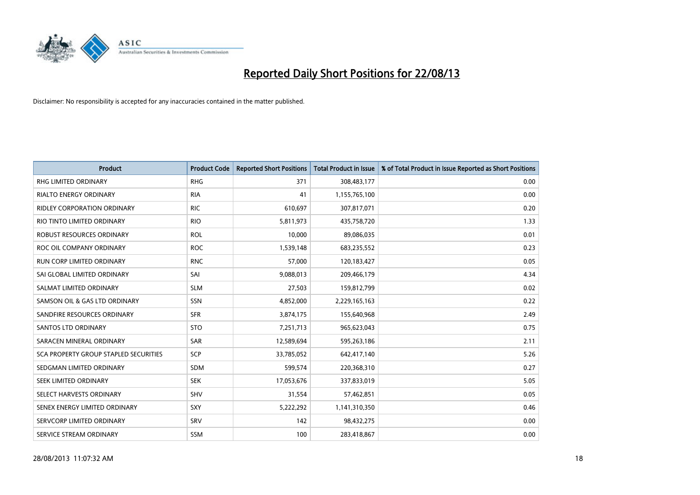

| <b>Product</b>                               | <b>Product Code</b> | <b>Reported Short Positions</b> | <b>Total Product in Issue</b> | % of Total Product in Issue Reported as Short Positions |
|----------------------------------------------|---------------------|---------------------------------|-------------------------------|---------------------------------------------------------|
| <b>RHG LIMITED ORDINARY</b>                  | <b>RHG</b>          | 371                             | 308,483,177                   | 0.00                                                    |
| <b>RIALTO ENERGY ORDINARY</b>                | <b>RIA</b>          | 41                              | 1,155,765,100                 | 0.00                                                    |
| <b>RIDLEY CORPORATION ORDINARY</b>           | <b>RIC</b>          | 610,697                         | 307,817,071                   | 0.20                                                    |
| RIO TINTO LIMITED ORDINARY                   | <b>RIO</b>          | 5,811,973                       | 435,758,720                   | 1.33                                                    |
| <b>ROBUST RESOURCES ORDINARY</b>             | <b>ROL</b>          | 10,000                          | 89,086,035                    | 0.01                                                    |
| ROC OIL COMPANY ORDINARY                     | <b>ROC</b>          | 1,539,148                       | 683,235,552                   | 0.23                                                    |
| <b>RUN CORP LIMITED ORDINARY</b>             | <b>RNC</b>          | 57,000                          | 120,183,427                   | 0.05                                                    |
| SAI GLOBAL LIMITED ORDINARY                  | SAI                 | 9,088,013                       | 209,466,179                   | 4.34                                                    |
| SALMAT LIMITED ORDINARY                      | <b>SLM</b>          | 27,503                          | 159,812,799                   | 0.02                                                    |
| SAMSON OIL & GAS LTD ORDINARY                | SSN                 | 4,852,000                       | 2,229,165,163                 | 0.22                                                    |
| SANDFIRE RESOURCES ORDINARY                  | <b>SFR</b>          | 3,874,175                       | 155,640,968                   | 2.49                                                    |
| SANTOS LTD ORDINARY                          | <b>STO</b>          | 7,251,713                       | 965,623,043                   | 0.75                                                    |
| SARACEN MINERAL ORDINARY                     | SAR                 | 12,589,694                      | 595,263,186                   | 2.11                                                    |
| <b>SCA PROPERTY GROUP STAPLED SECURITIES</b> | SCP                 | 33,785,052                      | 642,417,140                   | 5.26                                                    |
| SEDGMAN LIMITED ORDINARY                     | <b>SDM</b>          | 599,574                         | 220,368,310                   | 0.27                                                    |
| SEEK LIMITED ORDINARY                        | <b>SEK</b>          | 17,053,676                      | 337,833,019                   | 5.05                                                    |
| SELECT HARVESTS ORDINARY                     | SHV                 | 31,554                          | 57,462,851                    | 0.05                                                    |
| SENEX ENERGY LIMITED ORDINARY                | SXY                 | 5,222,292                       | 1,141,310,350                 | 0.46                                                    |
| SERVCORP LIMITED ORDINARY                    | SRV                 | 142                             | 98,432,275                    | 0.00                                                    |
| SERVICE STREAM ORDINARY                      | SSM                 | 100                             | 283,418,867                   | 0.00                                                    |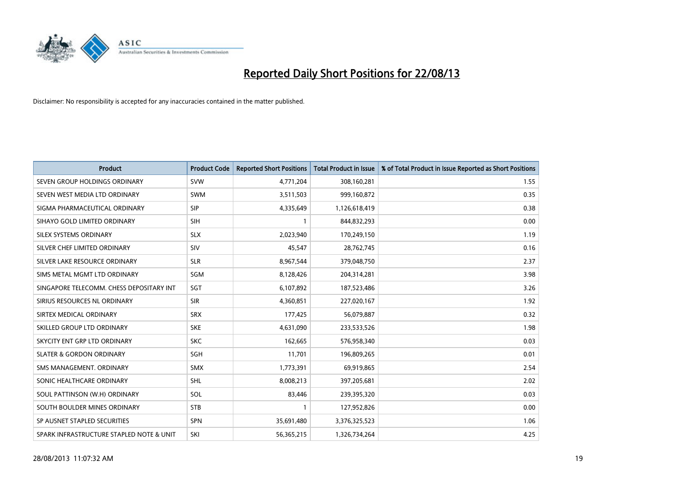

| <b>Product</b>                           | <b>Product Code</b> | <b>Reported Short Positions</b> | <b>Total Product in Issue</b> | % of Total Product in Issue Reported as Short Positions |
|------------------------------------------|---------------------|---------------------------------|-------------------------------|---------------------------------------------------------|
| SEVEN GROUP HOLDINGS ORDINARY            | <b>SVW</b>          | 4,771,204                       | 308,160,281                   | 1.55                                                    |
| SEVEN WEST MEDIA LTD ORDINARY            | SWM                 | 3,511,503                       | 999,160,872                   | 0.35                                                    |
| SIGMA PHARMACEUTICAL ORDINARY            | <b>SIP</b>          | 4,335,649                       | 1,126,618,419                 | 0.38                                                    |
| SIHAYO GOLD LIMITED ORDINARY             | <b>SIH</b>          | 1                               | 844,832,293                   | 0.00                                                    |
| SILEX SYSTEMS ORDINARY                   | <b>SLX</b>          | 2,023,940                       | 170,249,150                   | 1.19                                                    |
| SILVER CHEF LIMITED ORDINARY             | SIV                 | 45,547                          | 28,762,745                    | 0.16                                                    |
| SILVER LAKE RESOURCE ORDINARY            | <b>SLR</b>          | 8,967,544                       | 379,048,750                   | 2.37                                                    |
| SIMS METAL MGMT LTD ORDINARY             | SGM                 | 8,128,426                       | 204,314,281                   | 3.98                                                    |
| SINGAPORE TELECOMM. CHESS DEPOSITARY INT | SGT                 | 6,107,892                       | 187,523,486                   | 3.26                                                    |
| SIRIUS RESOURCES NL ORDINARY             | <b>SIR</b>          | 4,360,851                       | 227,020,167                   | 1.92                                                    |
| SIRTEX MEDICAL ORDINARY                  | <b>SRX</b>          | 177,425                         | 56,079,887                    | 0.32                                                    |
| SKILLED GROUP LTD ORDINARY               | <b>SKE</b>          | 4,631,090                       | 233,533,526                   | 1.98                                                    |
| SKYCITY ENT GRP LTD ORDINARY             | <b>SKC</b>          | 162,665                         | 576,958,340                   | 0.03                                                    |
| <b>SLATER &amp; GORDON ORDINARY</b>      | SGH                 | 11,701                          | 196,809,265                   | 0.01                                                    |
| SMS MANAGEMENT, ORDINARY                 | <b>SMX</b>          | 1,773,391                       | 69,919,865                    | 2.54                                                    |
| SONIC HEALTHCARE ORDINARY                | SHL                 | 8,008,213                       | 397,205,681                   | 2.02                                                    |
| SOUL PATTINSON (W.H) ORDINARY            | SOL                 | 83,446                          | 239,395,320                   | 0.03                                                    |
| SOUTH BOULDER MINES ORDINARY             | <b>STB</b>          | 1                               | 127,952,826                   | 0.00                                                    |
| SP AUSNET STAPLED SECURITIES             | SPN                 | 35,691,480                      | 3,376,325,523                 | 1.06                                                    |
| SPARK INFRASTRUCTURE STAPLED NOTE & UNIT | SKI                 | 56,365,215                      | 1,326,734,264                 | 4.25                                                    |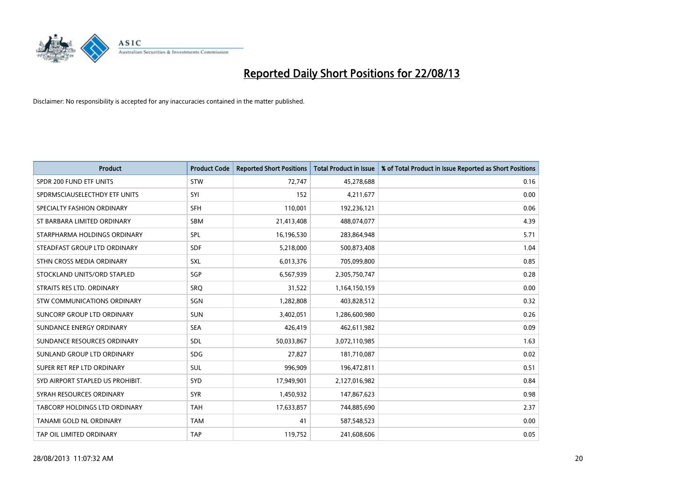

| <b>Product</b>                   | <b>Product Code</b> | <b>Reported Short Positions</b> | <b>Total Product in Issue</b> | % of Total Product in Issue Reported as Short Positions |
|----------------------------------|---------------------|---------------------------------|-------------------------------|---------------------------------------------------------|
| SPDR 200 FUND ETF UNITS          | <b>STW</b>          | 72,747                          | 45,278,688                    | 0.16                                                    |
| SPDRMSCIAUSELECTHDY ETF UNITS    | SYI                 | 152                             | 4,211,677                     | 0.00                                                    |
| SPECIALTY FASHION ORDINARY       | <b>SFH</b>          | 110,001                         | 192,236,121                   | 0.06                                                    |
| ST BARBARA LIMITED ORDINARY      | <b>SBM</b>          | 21,413,408                      | 488,074,077                   | 4.39                                                    |
| STARPHARMA HOLDINGS ORDINARY     | SPL                 | 16,196,530                      | 283,864,948                   | 5.71                                                    |
| STEADFAST GROUP LTD ORDINARY     | <b>SDF</b>          | 5,218,000                       | 500,873,408                   | 1.04                                                    |
| STHN CROSS MEDIA ORDINARY        | SXL                 | 6,013,376                       | 705,099,800                   | 0.85                                                    |
| STOCKLAND UNITS/ORD STAPLED      | SGP                 | 6,567,939                       | 2,305,750,747                 | 0.28                                                    |
| STRAITS RES LTD. ORDINARY        | SRQ                 | 31,522                          | 1,164,150,159                 | 0.00                                                    |
| STW COMMUNICATIONS ORDINARY      | SGN                 | 1,282,808                       | 403,828,512                   | 0.32                                                    |
| SUNCORP GROUP LTD ORDINARY       | <b>SUN</b>          | 3,402,051                       | 1,286,600,980                 | 0.26                                                    |
| SUNDANCE ENERGY ORDINARY         | <b>SEA</b>          | 426,419                         | 462,611,982                   | 0.09                                                    |
| SUNDANCE RESOURCES ORDINARY      | <b>SDL</b>          | 50,033,867                      | 3,072,110,985                 | 1.63                                                    |
| SUNLAND GROUP LTD ORDINARY       | <b>SDG</b>          | 27,827                          | 181,710,087                   | 0.02                                                    |
| SUPER RET REP LTD ORDINARY       | <b>SUL</b>          | 996,909                         | 196,472,811                   | 0.51                                                    |
| SYD AIRPORT STAPLED US PROHIBIT. | SYD                 | 17,949,901                      | 2,127,016,982                 | 0.84                                                    |
| SYRAH RESOURCES ORDINARY         | <b>SYR</b>          | 1,450,932                       | 147,867,623                   | 0.98                                                    |
| TABCORP HOLDINGS LTD ORDINARY    | <b>TAH</b>          | 17,633,857                      | 744,885,690                   | 2.37                                                    |
| <b>TANAMI GOLD NL ORDINARY</b>   | <b>TAM</b>          | 41                              | 587,548,523                   | 0.00                                                    |
| TAP OIL LIMITED ORDINARY         | <b>TAP</b>          | 119,752                         | 241,608,606                   | 0.05                                                    |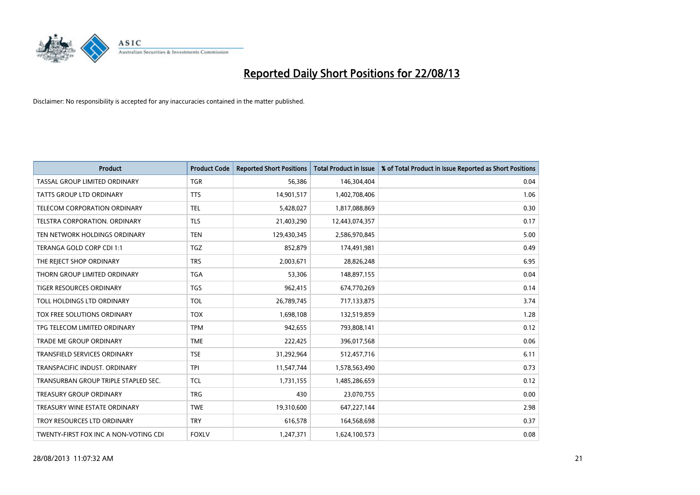

| <b>Product</b>                        | <b>Product Code</b> | <b>Reported Short Positions</b> | <b>Total Product in Issue</b> | % of Total Product in Issue Reported as Short Positions |
|---------------------------------------|---------------------|---------------------------------|-------------------------------|---------------------------------------------------------|
| TASSAL GROUP LIMITED ORDINARY         | <b>TGR</b>          | 56,386                          | 146,304,404                   | 0.04                                                    |
| TATTS GROUP LTD ORDINARY              | <b>TTS</b>          | 14,901,517                      | 1,402,708,406                 | 1.06                                                    |
| <b>TELECOM CORPORATION ORDINARY</b>   | <b>TEL</b>          | 5,428,027                       | 1,817,088,869                 | 0.30                                                    |
| TELSTRA CORPORATION. ORDINARY         | <b>TLS</b>          | 21,403,290                      | 12,443,074,357                | 0.17                                                    |
| TEN NETWORK HOLDINGS ORDINARY         | <b>TEN</b>          | 129,430,345                     | 2,586,970,845                 | 5.00                                                    |
| TERANGA GOLD CORP CDI 1:1             | <b>TGZ</b>          | 852,879                         | 174,491,981                   | 0.49                                                    |
| THE REJECT SHOP ORDINARY              | <b>TRS</b>          | 2,003,671                       | 28,826,248                    | 6.95                                                    |
| THORN GROUP LIMITED ORDINARY          | <b>TGA</b>          | 53,306                          | 148,897,155                   | 0.04                                                    |
| <b>TIGER RESOURCES ORDINARY</b>       | <b>TGS</b>          | 962,415                         | 674,770,269                   | 0.14                                                    |
| TOLL HOLDINGS LTD ORDINARY            | <b>TOL</b>          | 26,789,745                      | 717,133,875                   | 3.74                                                    |
| TOX FREE SOLUTIONS ORDINARY           | <b>TOX</b>          | 1,698,108                       | 132,519,859                   | 1.28                                                    |
| TPG TELECOM LIMITED ORDINARY          | <b>TPM</b>          | 942,655                         | 793,808,141                   | 0.12                                                    |
| TRADE ME GROUP ORDINARY               | <b>TME</b>          | 222,425                         | 396,017,568                   | 0.06                                                    |
| TRANSFIELD SERVICES ORDINARY          | <b>TSE</b>          | 31,292,964                      | 512,457,716                   | 6.11                                                    |
| TRANSPACIFIC INDUST, ORDINARY         | <b>TPI</b>          | 11,547,744                      | 1,578,563,490                 | 0.73                                                    |
| TRANSURBAN GROUP TRIPLE STAPLED SEC.  | <b>TCL</b>          | 1,731,155                       | 1,485,286,659                 | 0.12                                                    |
| TREASURY GROUP ORDINARY               | <b>TRG</b>          | 430                             | 23,070,755                    | 0.00                                                    |
| TREASURY WINE ESTATE ORDINARY         | <b>TWE</b>          | 19,310,600                      | 647,227,144                   | 2.98                                                    |
| TROY RESOURCES LTD ORDINARY           | <b>TRY</b>          | 616,578                         | 164,568,698                   | 0.37                                                    |
| TWENTY-FIRST FOX INC A NON-VOTING CDI | <b>FOXLV</b>        | 1,247,371                       | 1,624,100,573                 | 0.08                                                    |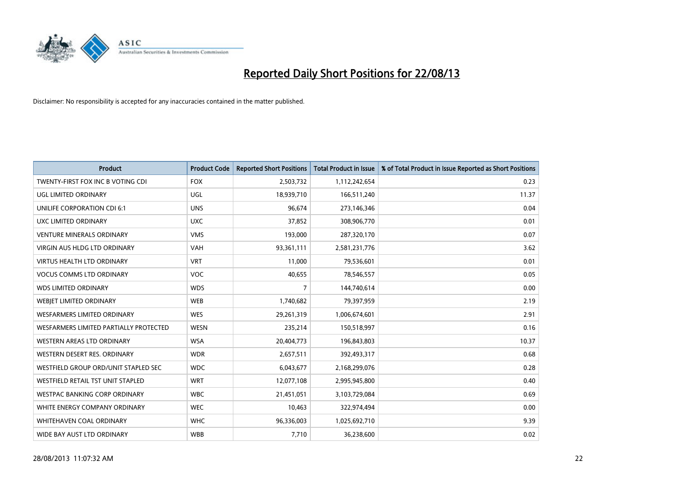

| <b>Product</b>                         | <b>Product Code</b> | <b>Reported Short Positions</b> | <b>Total Product in Issue</b> | % of Total Product in Issue Reported as Short Positions |
|----------------------------------------|---------------------|---------------------------------|-------------------------------|---------------------------------------------------------|
| TWENTY-FIRST FOX INC B VOTING CDI      | <b>FOX</b>          | 2,503,732                       | 1,112,242,654                 | 0.23                                                    |
| UGL LIMITED ORDINARY                   | <b>UGL</b>          | 18,939,710                      | 166,511,240                   | 11.37                                                   |
| UNILIFE CORPORATION CDI 6:1            | <b>UNS</b>          | 96,674                          | 273,146,346                   | 0.04                                                    |
| UXC LIMITED ORDINARY                   | <b>UXC</b>          | 37,852                          | 308,906,770                   | 0.01                                                    |
| <b>VENTURE MINERALS ORDINARY</b>       | <b>VMS</b>          | 193,000                         | 287,320,170                   | 0.07                                                    |
| <b>VIRGIN AUS HLDG LTD ORDINARY</b>    | <b>VAH</b>          | 93,361,111                      | 2,581,231,776                 | 3.62                                                    |
| <b>VIRTUS HEALTH LTD ORDINARY</b>      | <b>VRT</b>          | 11,000                          | 79,536,601                    | 0.01                                                    |
| <b>VOCUS COMMS LTD ORDINARY</b>        | <b>VOC</b>          | 40,655                          | 78,546,557                    | 0.05                                                    |
| <b>WDS LIMITED ORDINARY</b>            | <b>WDS</b>          | 7                               | 144,740,614                   | 0.00                                                    |
| WEBJET LIMITED ORDINARY                | <b>WEB</b>          | 1,740,682                       | 79,397,959                    | 2.19                                                    |
| WESFARMERS LIMITED ORDINARY            | <b>WES</b>          | 29,261,319                      | 1,006,674,601                 | 2.91                                                    |
| WESFARMERS LIMITED PARTIALLY PROTECTED | <b>WESN</b>         | 235,214                         | 150,518,997                   | 0.16                                                    |
| WESTERN AREAS LTD ORDINARY             | <b>WSA</b>          | 20,404,773                      | 196,843,803                   | 10.37                                                   |
| WESTERN DESERT RES. ORDINARY           | <b>WDR</b>          | 2,657,511                       | 392,493,317                   | 0.68                                                    |
| WESTFIELD GROUP ORD/UNIT STAPLED SEC   | <b>WDC</b>          | 6,043,677                       | 2,168,299,076                 | 0.28                                                    |
| WESTFIELD RETAIL TST UNIT STAPLED      | <b>WRT</b>          | 12,077,108                      | 2,995,945,800                 | 0.40                                                    |
| <b>WESTPAC BANKING CORP ORDINARY</b>   | <b>WBC</b>          | 21,451,051                      | 3,103,729,084                 | 0.69                                                    |
| WHITE ENERGY COMPANY ORDINARY          | <b>WEC</b>          | 10,463                          | 322,974,494                   | 0.00                                                    |
| WHITEHAVEN COAL ORDINARY               | <b>WHC</b>          | 96,336,003                      | 1,025,692,710                 | 9.39                                                    |
| WIDE BAY AUST LTD ORDINARY             | <b>WBB</b>          | 7,710                           | 36,238,600                    | 0.02                                                    |